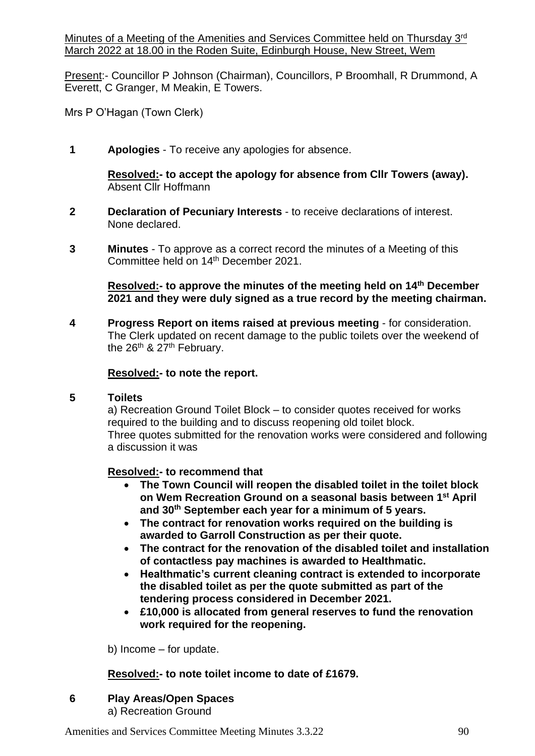Minutes of a Meeting of the Amenities and Services Committee held on Thursday 3rd March 2022 at 18.00 in the Roden Suite, Edinburgh House, New Street, Wem

Present:- Councillor P Johnson (Chairman), Councillors, P Broomhall, R Drummond, A Everett, C Granger, M Meakin, E Towers.

Mrs P O'Hagan (Town Clerk)

**1 Apologies** - To receive any apologies for absence.

**Resolved:- to accept the apology for absence from Cllr Towers (away).** Absent Cllr Hoffmann

- **2 Declaration of Pecuniary Interests**  to receive declarations of interest. None declared.
- **3 Minutes** To approve as a correct record the minutes of a Meeting of this Committee held on 14th December 2021.

**Resolved:- to approve the minutes of the meeting held on 14th December 2021 and they were duly signed as a true record by the meeting chairman.**

**4 Progress Report on items raised at previous meeting** - for consideration. The Clerk updated on recent damage to the public toilets over the weekend of the  $26^{th}$  &  $27^{th}$  February.

### **Resolved:- to note the report.**

### **5 Toilets**

a) Recreation Ground Toilet Block – to consider quotes received for works required to the building and to discuss reopening old toilet block. Three quotes submitted for the renovation works were considered and following a discussion it was

### **Resolved:- to recommend that**

- **The Town Council will reopen the disabled toilet in the toilet block on Wem Recreation Ground on a seasonal basis between 1 st April and 30th September each year for a minimum of 5 years.**
- **The contract for renovation works required on the building is awarded to Garroll Construction as per their quote.**
- **The contract for the renovation of the disabled toilet and installation of contactless pay machines is awarded to Healthmatic.**
- **Healthmatic's current cleaning contract is extended to incorporate the disabled toilet as per the quote submitted as part of the tendering process considered in December 2021.**
- **£10,000 is allocated from general reserves to fund the renovation work required for the reopening.**

b) Income – for update.

### **Resolved:- to note toilet income to date of £1679.**

### **6 Play Areas/Open Spaces**

a) Recreation Ground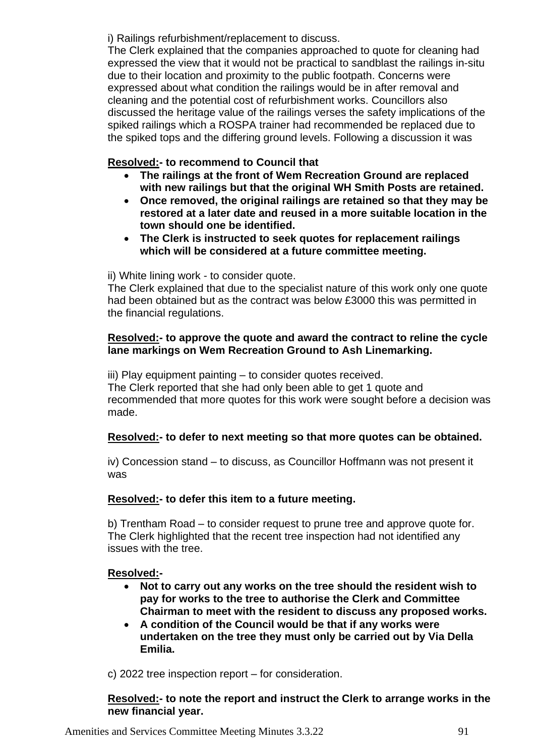i) Railings refurbishment/replacement to discuss.

The Clerk explained that the companies approached to quote for cleaning had expressed the view that it would not be practical to sandblast the railings in-situ due to their location and proximity to the public footpath. Concerns were expressed about what condition the railings would be in after removal and cleaning and the potential cost of refurbishment works. Councillors also discussed the heritage value of the railings verses the safety implications of the spiked railings which a ROSPA trainer had recommended be replaced due to the spiked tops and the differing ground levels. Following a discussion it was

# **Resolved:- to recommend to Council that**

- **The railings at the front of Wem Recreation Ground are replaced with new railings but that the original WH Smith Posts are retained.**
- **Once removed, the original railings are retained so that they may be restored at a later date and reused in a more suitable location in the town should one be identified.**
- **The Clerk is instructed to seek quotes for replacement railings which will be considered at a future committee meeting.**

ii) White lining work - to consider quote.

The Clerk explained that due to the specialist nature of this work only one quote had been obtained but as the contract was below £3000 this was permitted in the financial regulations.

# **Resolved:- to approve the quote and award the contract to reline the cycle lane markings on Wem Recreation Ground to Ash Linemarking.**

iii) Play equipment painting – to consider quotes received. The Clerk reported that she had only been able to get 1 quote and recommended that more quotes for this work were sought before a decision was made.

# **Resolved:- to defer to next meeting so that more quotes can be obtained.**

iv) Concession stand – to discuss, as Councillor Hoffmann was not present it was

# **Resolved:- to defer this item to a future meeting.**

b) Trentham Road – to consider request to prune tree and approve quote for. The Clerk highlighted that the recent tree inspection had not identified any issues with the tree.

# **Resolved:-**

- **Not to carry out any works on the tree should the resident wish to pay for works to the tree to authorise the Clerk and Committee Chairman to meet with the resident to discuss any proposed works.**
- **A condition of the Council would be that if any works were undertaken on the tree they must only be carried out by Via Della Emilia.**

c) 2022 tree inspection report – for consideration.

**Resolved:- to note the report and instruct the Clerk to arrange works in the new financial year.**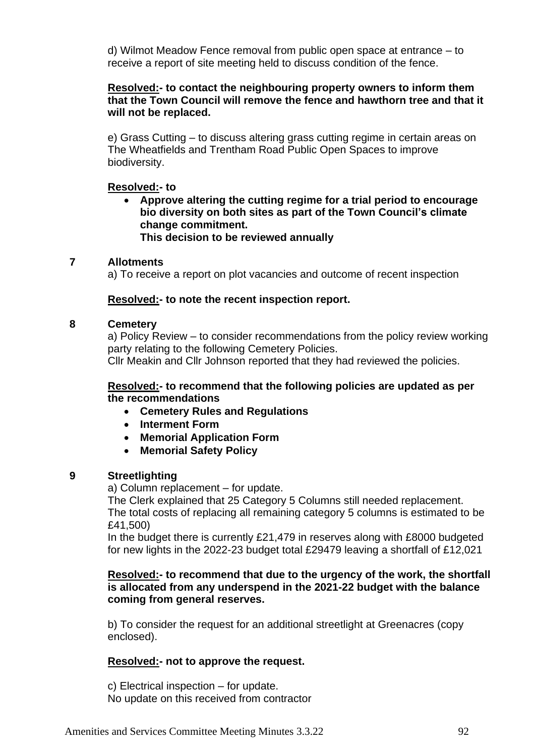d) Wilmot Meadow Fence removal from public open space at entrance – to receive a report of site meeting held to discuss condition of the fence.

## **Resolved:- to contact the neighbouring property owners to inform them that the Town Council will remove the fence and hawthorn tree and that it will not be replaced.**

e) Grass Cutting – to discuss altering grass cutting regime in certain areas on The Wheatfields and Trentham Road Public Open Spaces to improve biodiversity.

## **Resolved:- to**

• **Approve altering the cutting regime for a trial period to encourage bio diversity on both sites as part of the Town Council's climate change commitment. This decision to be reviewed annually**

# **7 Allotments**

a) To receive a report on plot vacancies and outcome of recent inspection

# **Resolved:- to note the recent inspection report.**

### **8 Cemetery**

a) Policy Review – to consider recommendations from the policy review working party relating to the following Cemetery Policies. Cllr Meakin and Cllr Johnson reported that they had reviewed the policies.

### **Resolved:- to recommend that the following policies are updated as per the recommendations**

- **Cemetery Rules and Regulations**
- **Interment Form**
- **Memorial Application Form**
- **Memorial Safety Policy**

# **9 Streetlighting**

a) Column replacement – for update.

The Clerk explained that 25 Category 5 Columns still needed replacement. The total costs of replacing all remaining category 5 columns is estimated to be £41,500)

In the budget there is currently £21,479 in reserves along with £8000 budgeted for new lights in the 2022-23 budget total £29479 leaving a shortfall of £12,021

### **Resolved:- to recommend that due to the urgency of the work, the shortfall is allocated from any underspend in the 2021-22 budget with the balance coming from general reserves.**

b) To consider the request for an additional streetlight at Greenacres (copy enclosed).

# **Resolved:- not to approve the request.**

c) Electrical inspection – for update. No update on this received from contractor